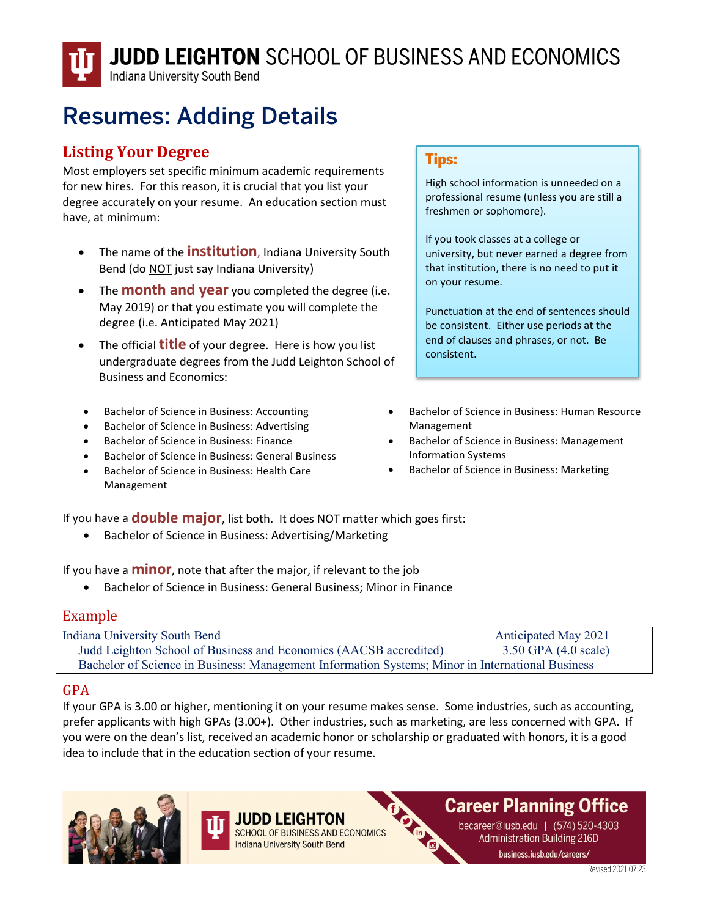Indiana University South Bend

# Resumes: Adding Details

#### **Listing Your Degree**

Most employers set specific minimum academic requirements for new hires. For this reason, it is crucial that you list your degree accurately on your resume. An education section must have, at minimum:

- The name of the **institution**, Indiana University South Bend (do NOT just say Indiana University)
- The **month and year** you completed the degree (i.e. May 2019) or that you estimate you will complete the degree (i.e. Anticipated May 2021)
- The official **title** of your degree. Here is how you list undergraduate degrees from the Judd Leighton School of Business and Economics:
- Bachelor of Science in Business: Accounting
- Bachelor of Science in Business: Advertising
- Bachelor of Science in Business: Finance
- Bachelor of Science in Business: General Business
- Bachelor of Science in Business: Health Care Management

#### Tips:

High school information is unneeded on a professional resume (unless you are still a freshmen or sophomore).

If you took classes at a college or university, but never earned a degree from that institution, there is no need to put it on your resume.

Punctuation at the end of sentences should be consistent. Either use periods at the end of clauses and phrases, or not. Be consistent.

- Bachelor of Science in Business: Human Resource Management
- Bachelor of Science in Business: Management Information Systems
- Bachelor of Science in Business: Marketing

If you have a **double major**, list both. It does NOT matter which goes first:

• Bachelor of Science in Business: Advertising/Marketing

If you have a **minor**, note that after the major, if relevant to the job

• Bachelor of Science in Business: General Business; Minor in Finance

#### Example

| <b>Indiana University South Bend</b>                                                             | <b>Anticipated May 2021</b>      |
|--------------------------------------------------------------------------------------------------|----------------------------------|
| Judd Leighton School of Business and Economics (AACSB accredited)                                | $3.50$ GPA $(4.0 \text{ scale})$ |
| Bachelor of Science in Business: Management Information Systems; Minor in International Business |                                  |

#### GPA

If your GPA is 3.00 or higher, mentioning it on your resume makes sense. Some industries, such as accounting, prefer applicants with high GPAs (3.00+). Other industries, such as marketing, are less concerned with GPA. If you were on the dean's list, received an academic honor or scholarship or graduated with honors, it is a good idea to include that in the education section of your resume.





SCHOOL OF BUSINESS AND ECONOMICS **Indiana University South Bend** 

### **Career Planning Office**

becareer@iusb.edu | (574) 520-4303 **Administration Building 216D** business.iusb.edu/careers/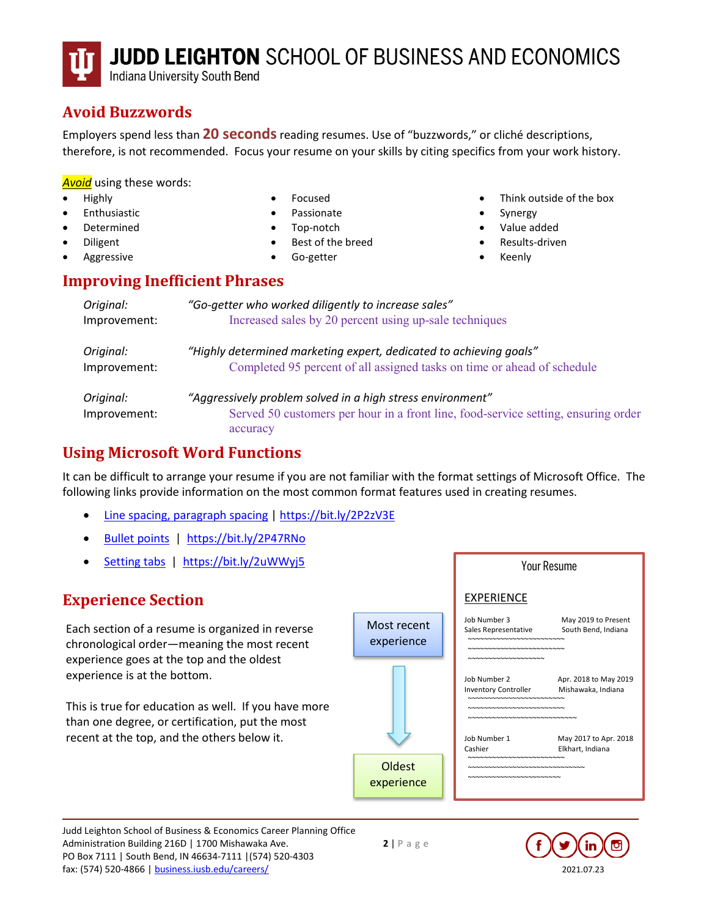Indiana University South Bend

### **Avoid Buzzwords**

Employers spend less than **20 seconds**reading resumes. Use of "buzzwords," or cliché descriptions, therefore, is not recommended. Focus your resume on your skills by citing specifics from your work history.

*Avoid* using these words:

- Highly
- **Enthusiastic**
- Determined
- Diligent
- **Aggressive**
- Focused
- Passionate
- Top-notch
- Best of the breed
- Go-getter

#### **Improving Inefficient Phrases**

| Original:                 | "Go-getter who worked diligently to increase sales"                                                                                                          |
|---------------------------|--------------------------------------------------------------------------------------------------------------------------------------------------------------|
| Improvement:              | Increased sales by 20 percent using up-sale techniques                                                                                                       |
| Original:                 | "Highly determined marketing expert, dedicated to achieving goals"                                                                                           |
| Improvement:              | Completed 95 percent of all assigned tasks on time or ahead of schedule                                                                                      |
| Original:<br>Improvement: | "Aggressively problem solved in a high stress environment"<br>Served 50 customers per hour in a front line, food-service setting, ensuring order<br>accuracy |

#### **Using Microsoft Word Functions**

It can be difficult to arrange your resume if you are not familiar with the format settings of Microsoft Office. The following links provide information on the most common format features used in creating resumes.

- [Line spacing, paragraph spacing](https://bit.ly/2P2zV3E) [| https://bit.ly/2P2zV3E](https://bit.ly/2P2zV3E)
- [Bullet points](https://bit.ly/2P47RNo) | <https://bit.ly/2P47RNo>
- [Setting tabs](https://bit.ly/2uWWyj5) | <https://bit.ly/2uWWyj5>

### **Experience Section**

Each section of a resume is organized in reverse chronological order—meaning the most recent experience goes at the top and the oldest experience is at the bottom.

This is true for education as well. If you have more than one degree, or certification, put the most recent at the top, and the others below it.



Judd Leighton School of Business & Economics Career Planning Office Administration Building 216D | 1700 Mishawaka Ave. **2** | P a g e PO Box 7111 | South Bend, IN 46634-7111 |(574) 520-4303 fax: (574) 520-4866 [| business.iusb.edu/careers/](https://business.iusb.edu/careers/index.html) 2021.07.23



Think outside of the box

Your Resume

**Synergy** • Value added • Results-driven • Keenly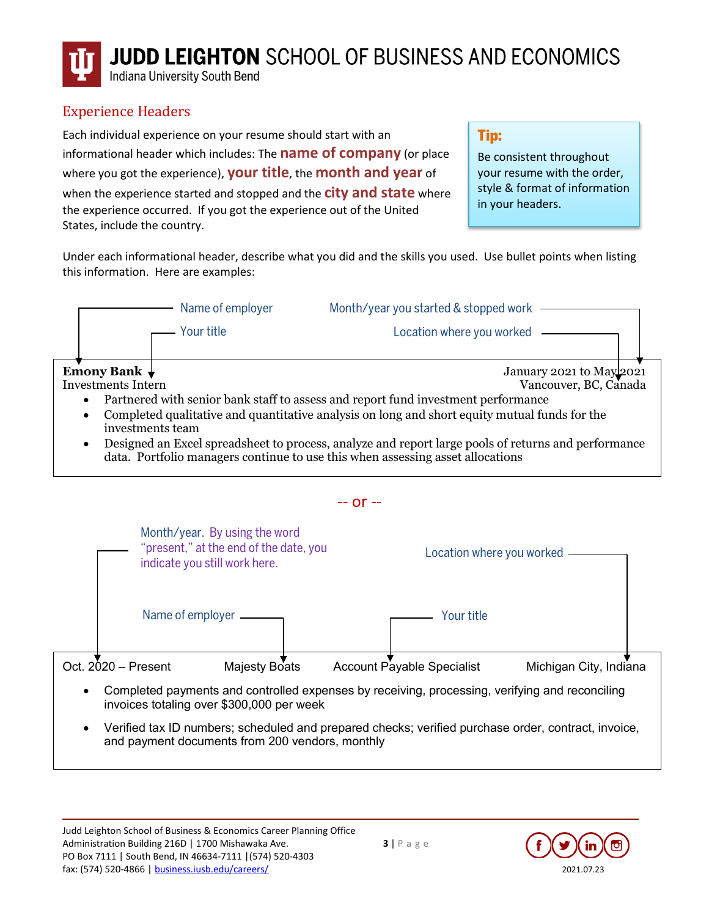Indiana University South Bend

#### Experience Headers

Each individual experience on your resume should start with an informational header which includes: The **name of company** (or place where you got the experience), **your title**, the **month and year** of when the experience started and stopped and the **city and state** where the experience occurred. If you got the experience out of the United States, include the country.

Tip:

Be consistent throughout your resume with the order, style & format of information in your headers.

Under each informational header, describe what you did and the skills you used. Use bullet points when listing this information. Here are examples:



data. Portfolio managers continue to use this when assessing asset allocations



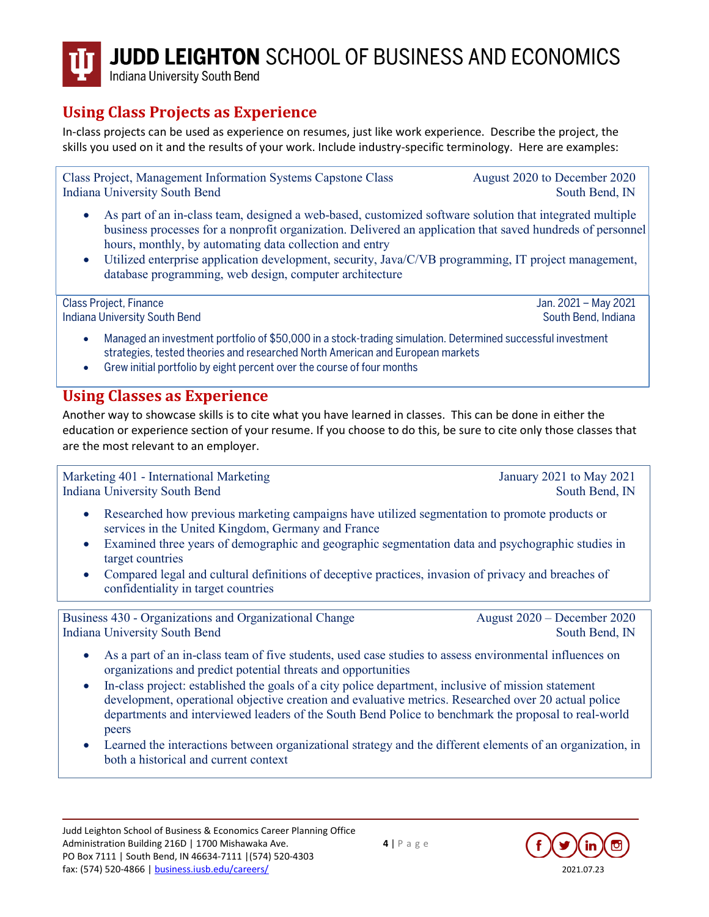Indiana University South Bend

### **Using Class Projects as Experience**

In-class projects can be used as experience on resumes, just like work experience. Describe the project, the skills you used on it and the results of your work. Include industry-specific terminology. Here are examples:

Class Project, Management Information Systems Capstone Class August 2020 to December 2020 Indiana University South Bend South Bend, IN

- As part of an in-class team, designed a web-based, customized software solution that integrated multiple business processes for a nonprofit organization. Delivered an application that saved hundreds of personnel hours, monthly, by automating data collection and entry
- Utilized enterprise application development, security, Java/C/VB programming, IT project management, database programming, web design, computer architecture

Class Project, Finance Jan. 2021 – May 2021 Indiana University South Bend South Bend South Bend, Indiana

- Managed an investment portfolio of \$50,000 in a stock-trading simulation. Determined successful investment strategies, tested theories and researched North American and European markets
- Grew initial portfolio by eight percent over the course of four months

#### **Using Classes as Experience**

Another way to showcase skills is to cite what you have learned in classes. This can be done in either the education or experience section of your resume. If you choose to do this, be sure to cite only those classes that are the most relevant to an employer.

Marketing 401 - International Marketing January 2021 to May 2021 Indiana University South Bend South Bend, IN

- Researched how previous marketing campaigns have utilized segmentation to promote products or services in the United Kingdom, Germany and France
- Examined three years of demographic and geographic segmentation data and psychographic studies in target countries
- Compared legal and cultural definitions of deceptive practices, invasion of privacy and breaches of confidentiality in target countries

Business 430 - Organizations and Organizational Change August 2020 – December 2020 Indiana University South Bend South Bend, IN

- As a part of an in-class team of five students, used case studies to assess environmental influences on organizations and predict potential threats and opportunities
- In-class project: established the goals of a city police department, inclusive of mission statement development, operational objective creation and evaluative metrics. Researched over 20 actual police departments and interviewed leaders of the South Bend Police to benchmark the proposal to real-world peers
- Learned the interactions between organizational strategy and the different elements of an organization, in both a historical and current context